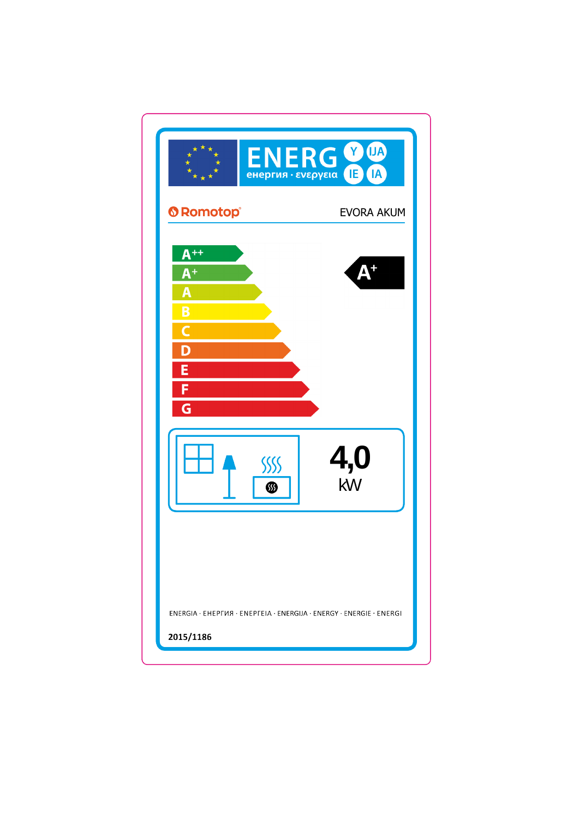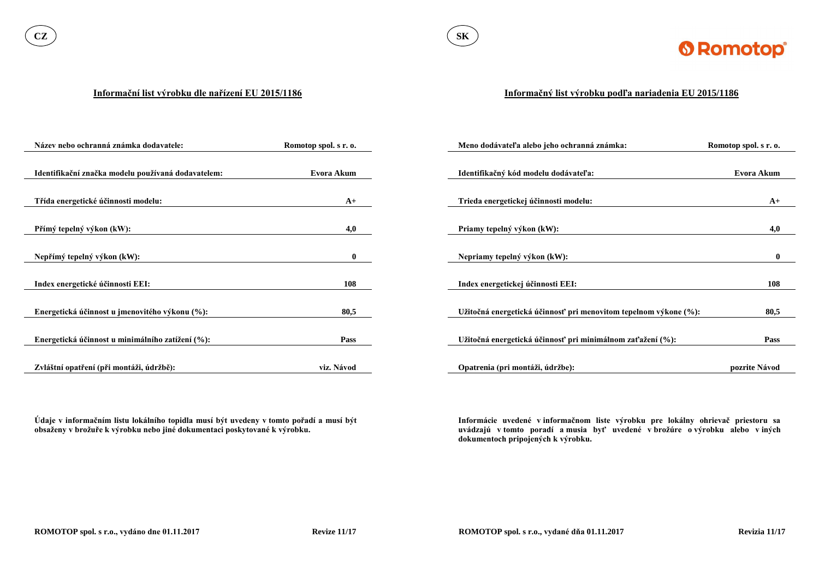

#### **Informační list výrobku dle nařízení EU 2015/1186**

**Údaje v informačním listu lokálního topidla musí být uvedeny v tomto pořadí a musí být obsaženy v brožuře k výrobku nebo jiné dokumentaci poskytované k výrobku.**

| Název nebo ochranná známka dodavatele:             | Romotop spol. s r. o. | Meno dodávateľa alebo jeho ochranná známka:                      | Romotop spol. s r. o. |
|----------------------------------------------------|-----------------------|------------------------------------------------------------------|-----------------------|
|                                                    |                       |                                                                  |                       |
| Identifikační značka modelu používaná dodavatelem: | Evora Akum            | Identifikačný kód modelu dodávateľa:                             | Evora Akum            |
|                                                    |                       |                                                                  |                       |
| Třída energetické účinnosti modelu:                | $A+$                  | Trieda energetickej účinnosti modelu:                            | $A+$                  |
|                                                    |                       |                                                                  |                       |
| Přímý tepelný výkon (kW):                          | 4,0                   | Priamy tepelný výkon (kW):                                       | 4,0                   |
|                                                    |                       |                                                                  |                       |
| Nepřímý tepelný výkon (kW):                        | $\mathbf{0}$          | Nepriamy tepelný výkon (kW):                                     | $\mathbf{0}$          |
|                                                    |                       |                                                                  |                       |
| Index energetické účinnosti EEI:                   | 108                   | Index energetickej účinnosti EEI:                                | 108                   |
|                                                    |                       |                                                                  |                       |
| Energetická účinnost u jmenovitého výkonu (%):     | 80,5                  | Užitočná energetická účinnosť pri menovitom tepelnom výkone (%): | 80,5                  |
|                                                    |                       |                                                                  |                       |
| Energetická účinnost u minimálního zatížení (%):   | <b>Pass</b>           | Užitočná energetická účinnosť pri minimálnom zaťažení (%):       | <b>Pass</b>           |
|                                                    |                       |                                                                  |                       |
| Zvláštní opatření (při montáži, údržbě):           | viz. Návod            | Opatrenia (pri montáži, údržbe):                                 | pozrite Návod         |

### **Informačný list výrobku podľa nariadenia EU 2015/1186**

**Informácie uvedené v informačnom liste výrobku pre lokálny ohrievač priestoru sa uvádzajú v tomto poradí a musia byť uvedené v brožúre o výrobku alebo v iných dokumentoch pripojených k výrobku.**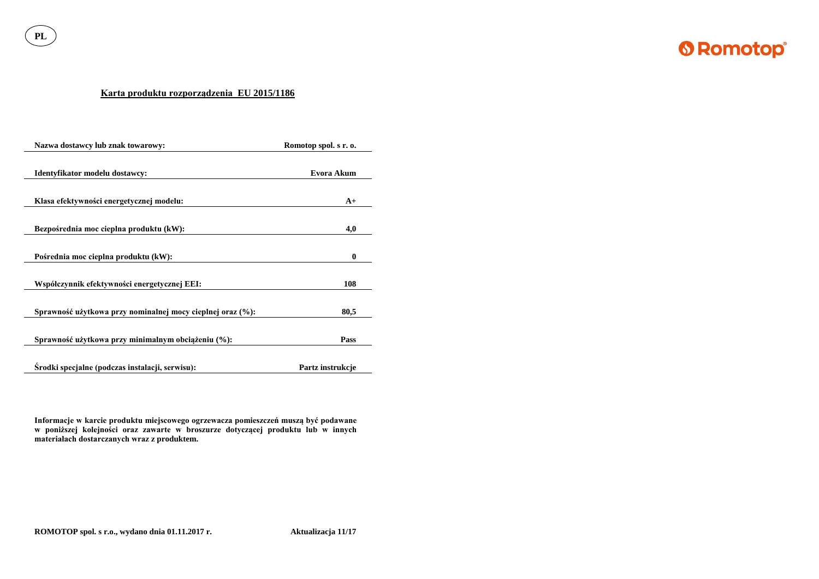**PL**



## **Karta produktu rozporządzenia EU 2015/1186**

| Nazwa dostawcy lub znak towarowy:                          | Romotop spol. s r. o. |
|------------------------------------------------------------|-----------------------|
| Identyfikator modelu dostawcy:                             | <b>Evora Akum</b>     |
| Klasa efektywności energetycznej modelu:                   | $A+$                  |
| Bezpośrednia moc cieplna produktu (kW):                    | 4,0                   |
| Pośrednia moc cieplna produktu (kW):                       | $\boldsymbol{0}$      |
| Współczynnik efektywności energetycznej EEI:               | 108                   |
| Sprawność użytkowa przy nominalnej mocy cieplnej oraz (%): | 80,5                  |
| Sprawność użytkowa przy minimalnym obciążeniu (%):         | Pass                  |
| Srodki specjalne (podczas instalacji, serwisu):            | Partz instrukcje      |

**Informacje w karcie produktu miejscowego ogrzewacza pomieszczeń muszą być podawane w poniższej kolejności oraz zawarte w broszurze dotyczącej produktu lub w innych materiałach dostarczanych wraz z produktem.**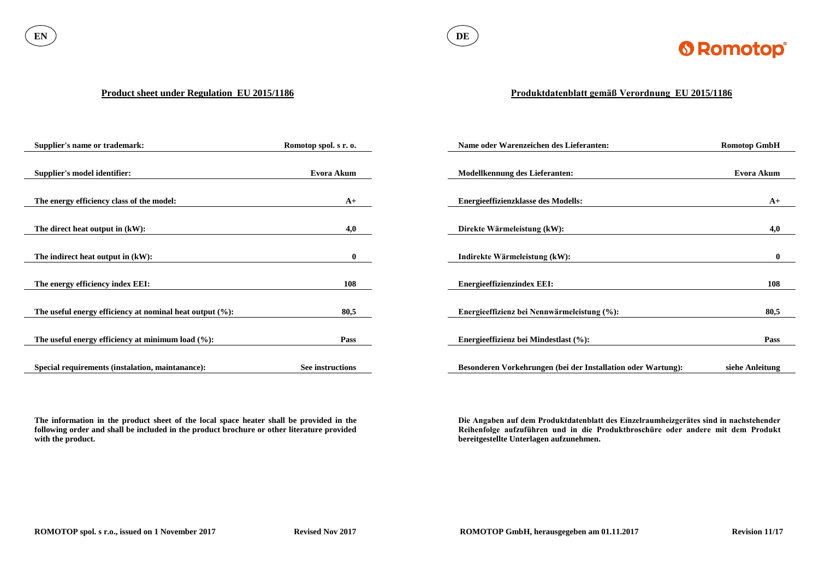

#### **Product sheet under Regulation EU 2015/1186**

**The information in the product sheet of the local space heater shall be provided in the following order and shall be included in the product brochure or other literature provided with the product.**

| <b>Supplier's name or trademark:</b>                        | Romotop spol. s r. o. | Name oder Warenzeichen des Lieferanten:                      | <b>Romotop GmbH</b> |
|-------------------------------------------------------------|-----------------------|--------------------------------------------------------------|---------------------|
|                                                             |                       |                                                              |                     |
| <b>Supplier's model identifier:</b>                         | Evora Akum            | <b>Modellkennung des Lieferanten:</b>                        | Evora Akum          |
|                                                             |                       |                                                              |                     |
| The energy efficiency class of the model:                   | $A+$                  | <b>Energieeffizienzklasse des Modells:</b>                   | $A+$                |
|                                                             |                       |                                                              |                     |
| The direct heat output in (kW):                             | 4,0                   | Direkte Wärmeleistung (kW):                                  | 4,0                 |
|                                                             |                       |                                                              |                     |
| The indirect heat output in $(kW)$ :                        | $\mathbf{0}$          | Indirekte Wärmeleistung (kW):                                | $\mathbf{0}$        |
|                                                             |                       |                                                              |                     |
| The energy efficiency index EEI:                            | 108                   | <b>Energieeffizienzindex EEI:</b>                            | 108                 |
|                                                             |                       |                                                              |                     |
| The useful energy efficiency at nominal heat output $(\%):$ | 80,5                  | Energieeffizienz bei Nennwärmeleistung (%):                  | 80,5                |
|                                                             |                       |                                                              |                     |
| The useful energy efficiency at minimum load $(\%):$        | Pass                  | Energieeffizienz bei Mindestlast (%):                        | <b>Pass</b>         |
|                                                             |                       |                                                              |                     |
| Special requirements (instalation, maintanance):            | See instructions      | Besonderen Vorkehrungen (bei der Installation oder Wartung): | siehe Anleitung     |

# **Produktdatenblatt gemäß Verordnung EU 2015/1186**

**Die Angaben auf dem Produktdatenblatt des Einzelraumheizgerätes sind in nachstehender Reihenfolge aufzuführen und in die Produktbroschüre oder andere mit dem Produkt bereitgestellte Unterlagen aufzunehmen.**